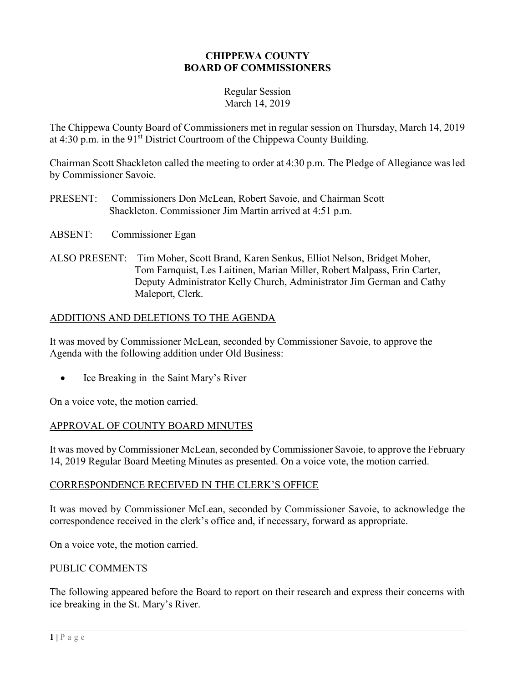### CHIPPEWA COUNTY BOARD OF COMMISSIONERS

#### Regular Session March 14, 2019

The Chippewa County Board of Commissioners met in regular session on Thursday, March 14, 2019 at  $4:30$  p.m. in the  $91<sup>st</sup>$  District Courtroom of the Chippewa County Building.

Chairman Scott Shackleton called the meeting to order at 4:30 p.m. The Pledge of Allegiance was led by Commissioner Savoie.

- PRESENT: Commissioners Don McLean, Robert Savoie, and Chairman Scott Shackleton. Commissioner Jim Martin arrived at 4:51 p.m.
- ABSENT: Commissioner Egan
- ALSO PRESENT: Tim Moher, Scott Brand, Karen Senkus, Elliot Nelson, Bridget Moher, Tom Farnquist, Les Laitinen, Marian Miller, Robert Malpass, Erin Carter, Deputy Administrator Kelly Church, Administrator Jim German and Cathy Maleport, Clerk.

### ADDITIONS AND DELETIONS TO THE AGENDA

It was moved by Commissioner McLean, seconded by Commissioner Savoie, to approve the Agenda with the following addition under Old Business:

Ice Breaking in the Saint Mary's River

On a voice vote, the motion carried.

### APPROVAL OF COUNTY BOARD MINUTES

It was moved by Commissioner McLean, seconded by Commissioner Savoie, to approve the February 14, 2019 Regular Board Meeting Minutes as presented. On a voice vote, the motion carried.

#### CORRESPONDENCE RECEIVED IN THE CLERK'S OFFICE

It was moved by Commissioner McLean, seconded by Commissioner Savoie, to acknowledge the correspondence received in the clerk's office and, if necessary, forward as appropriate.

On a voice vote, the motion carried.

### PUBLIC COMMENTS

The following appeared before the Board to report on their research and express their concerns with ice breaking in the St. Mary's River.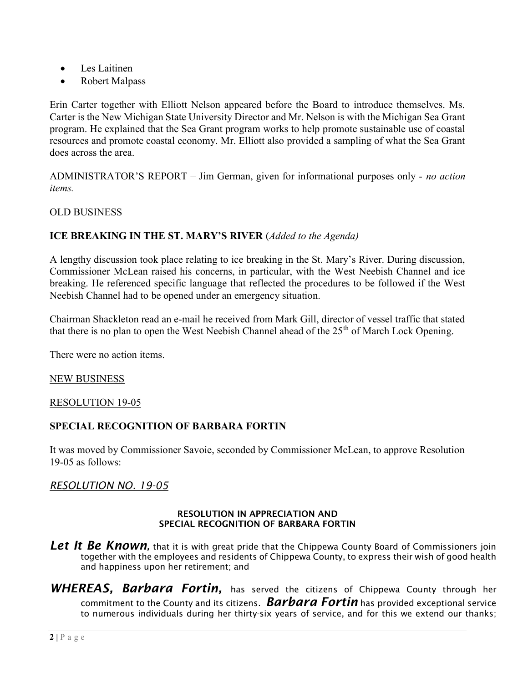- Les Laitinen
- Robert Malpass

Erin Carter together with Elliott Nelson appeared before the Board to introduce themselves. Ms. Carter is the New Michigan State University Director and Mr. Nelson is with the Michigan Sea Grant program. He explained that the Sea Grant program works to help promote sustainable use of coastal resources and promote coastal economy. Mr. Elliott also provided a sampling of what the Sea Grant does across the area.

ADMINISTRATOR'S REPORT – Jim German, given for informational purposes only - no action items.

### OLD BUSINESS

### ICE BREAKING IN THE ST. MARY'S RIVER (Added to the Agenda)

A lengthy discussion took place relating to ice breaking in the St. Mary's River. During discussion, Commissioner McLean raised his concerns, in particular, with the West Neebish Channel and ice breaking. He referenced specific language that reflected the procedures to be followed if the West Neebish Channel had to be opened under an emergency situation.

Chairman Shackleton read an e-mail he received from Mark Gill, director of vessel traffic that stated that there is no plan to open the West Neebish Channel ahead of the 25<sup>th</sup> of March Lock Opening.

There were no action items.

#### NEW BUSINESS

#### RESOLUTION 19-05

#### SPECIAL RECOGNITION OF BARBARA FORTIN

It was moved by Commissioner Savoie, seconded by Commissioner McLean, to approve Resolution 19-05 as follows:

#### RESOLUTION NO. 19-05

#### RESOLUTION IN APPRECIATION AND SPECIAL RECOGNITION OF BARBARA FORTIN

- Let It Be Known, that it is with great pride that the Chippewa County Board of Commissioners join together with the employees and residents of Chippewa County, to express their wish of good health and happiness upon her retirement; and
- WHEREAS. Barbara Fortin, has served the citizens of Chippewa County through her commitment to the County and its citizens.  $\it Barbara$  Fortin has provided exceptional service to numerous individuals during her thirty-six years of service, and for this we extend our thanks;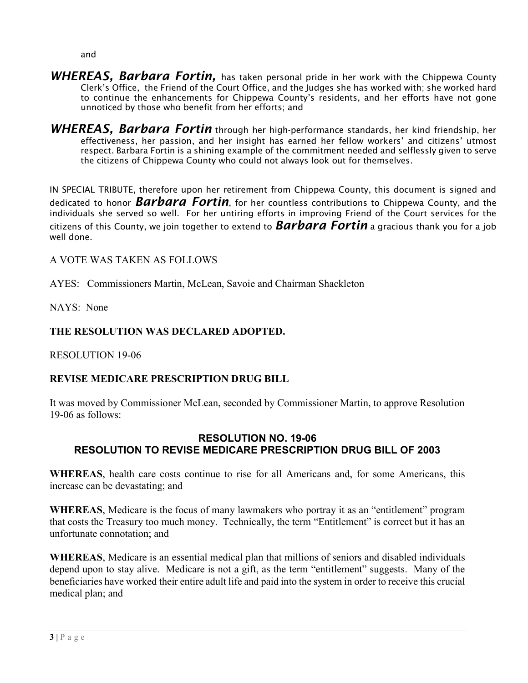and

- WHEREAS, Barbara Fortin, has taken personal pride in her work with the Chippewa County Clerk's Office, the Friend of the Court Office, and the Judges she has worked with; she worked hard to continue the enhancements for Chippewa County's residents, and her efforts have not gone unnoticed by those who benefit from her efforts; and
- WHEREAS, Barbara Fortin through her high-performance standards, her kind friendship, her effectiveness, her passion, and her insight has earned her fellow workers' and citizens' utmost respect. Barbara Fortin is a shining example of the commitment needed and selflessly given to serve the citizens of Chippewa County who could not always look out for themselves.

IN SPECIAL TRIBUTE, therefore upon her retirement from Chippewa County, this document is signed and dedicated to honor **Barbara Fortin**, for her countless contributions to Chippewa County, and the individuals she served so well. For her untiring efforts in improving Friend of the Court services for the citizens of this County, we join together to extend to **Barbara Fortin** a gracious thank you for a job well done.

## A VOTE WAS TAKEN AS FOLLOWS

AYES: Commissioners Martin, McLean, Savoie and Chairman Shackleton

NAYS: None

# THE RESOLUTION WAS DECLARED ADOPTED.

RESOLUTION 19-06

# REVISE MEDICARE PRESCRIPTION DRUG BILL

It was moved by Commissioner McLean, seconded by Commissioner Martin, to approve Resolution 19-06 as follows:

### RESOLUTION NO. 19-06 RESOLUTION TO REVISE MEDICARE PRESCRIPTION DRUG BILL OF 2003

WHEREAS, health care costs continue to rise for all Americans and, for some Americans, this increase can be devastating; and

WHEREAS, Medicare is the focus of many lawmakers who portray it as an "entitlement" program that costs the Treasury too much money. Technically, the term "Entitlement" is correct but it has an unfortunate connotation; and

WHEREAS, Medicare is an essential medical plan that millions of seniors and disabled individuals depend upon to stay alive. Medicare is not a gift, as the term "entitlement" suggests. Many of the beneficiaries have worked their entire adult life and paid into the system in order to receive this crucial medical plan; and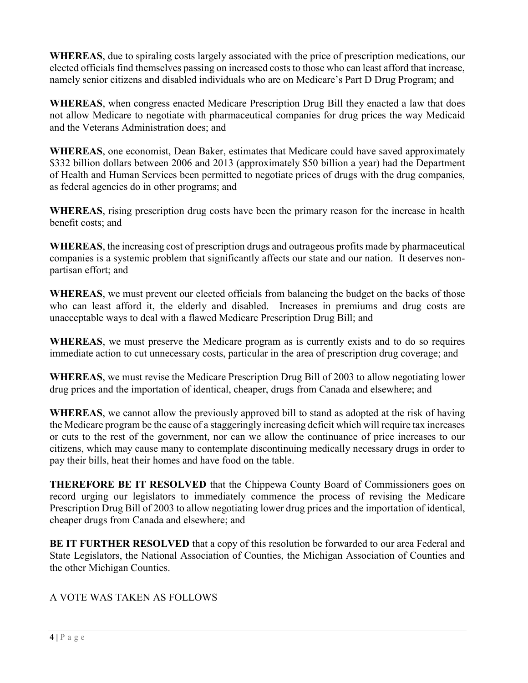WHEREAS, due to spiraling costs largely associated with the price of prescription medications, our elected officials find themselves passing on increased costs to those who can least afford that increase, namely senior citizens and disabled individuals who are on Medicare's Part D Drug Program; and

WHEREAS, when congress enacted Medicare Prescription Drug Bill they enacted a law that does not allow Medicare to negotiate with pharmaceutical companies for drug prices the way Medicaid and the Veterans Administration does; and

WHEREAS, one economist, Dean Baker, estimates that Medicare could have saved approximately \$332 billion dollars between 2006 and 2013 (approximately \$50 billion a year) had the Department of Health and Human Services been permitted to negotiate prices of drugs with the drug companies, as federal agencies do in other programs; and

WHEREAS, rising prescription drug costs have been the primary reason for the increase in health benefit costs; and

WHEREAS, the increasing cost of prescription drugs and outrageous profits made by pharmaceutical companies is a systemic problem that significantly affects our state and our nation. It deserves nonpartisan effort; and

WHEREAS, we must prevent our elected officials from balancing the budget on the backs of those who can least afford it, the elderly and disabled. Increases in premiums and drug costs are unacceptable ways to deal with a flawed Medicare Prescription Drug Bill; and

WHEREAS, we must preserve the Medicare program as is currently exists and to do so requires immediate action to cut unnecessary costs, particular in the area of prescription drug coverage; and

WHEREAS, we must revise the Medicare Prescription Drug Bill of 2003 to allow negotiating lower drug prices and the importation of identical, cheaper, drugs from Canada and elsewhere; and

WHEREAS, we cannot allow the previously approved bill to stand as adopted at the risk of having the Medicare program be the cause of a staggeringly increasing deficit which will require tax increases or cuts to the rest of the government, nor can we allow the continuance of price increases to our citizens, which may cause many to contemplate discontinuing medically necessary drugs in order to pay their bills, heat their homes and have food on the table.

THEREFORE BE IT RESOLVED that the Chippewa County Board of Commissioners goes on record urging our legislators to immediately commence the process of revising the Medicare Prescription Drug Bill of 2003 to allow negotiating lower drug prices and the importation of identical, cheaper drugs from Canada and elsewhere; and

BE IT FURTHER RESOLVED that a copy of this resolution be forwarded to our area Federal and State Legislators, the National Association of Counties, the Michigan Association of Counties and the other Michigan Counties.

# A VOTE WAS TAKEN AS FOLLOWS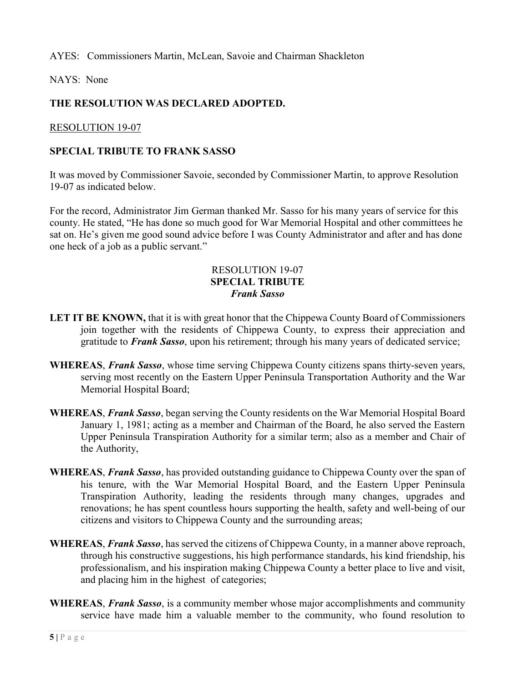AYES: Commissioners Martin, McLean, Savoie and Chairman Shackleton

NAYS: None

# THE RESOLUTION WAS DECLARED ADOPTED.

RESOLUTION 19-07

### SPECIAL TRIBUTE TO FRANK SASSO

It was moved by Commissioner Savoie, seconded by Commissioner Martin, to approve Resolution 19-07 as indicated below.

For the record, Administrator Jim German thanked Mr. Sasso for his many years of service for this county. He stated, "He has done so much good for War Memorial Hospital and other committees he sat on. He's given me good sound advice before I was County Administrator and after and has done one heck of a job as a public servant."

### RESOLUTION 19-07 SPECIAL TRIBUTE Frank Sasso

- LET IT BE KNOWN, that it is with great honor that the Chippewa County Board of Commissioners join together with the residents of Chippewa County, to express their appreciation and gratitude to Frank Sasso, upon his retirement; through his many years of dedicated service;
- WHEREAS, Frank Sasso, whose time serving Chippewa County citizens spans thirty-seven years, serving most recently on the Eastern Upper Peninsula Transportation Authority and the War Memorial Hospital Board;
- WHEREAS, Frank Sasso, began serving the County residents on the War Memorial Hospital Board January 1, 1981; acting as a member and Chairman of the Board, he also served the Eastern Upper Peninsula Transpiration Authority for a similar term; also as a member and Chair of the Authority,
- WHEREAS, Frank Sasso, has provided outstanding guidance to Chippewa County over the span of his tenure, with the War Memorial Hospital Board, and the Eastern Upper Peninsula Transpiration Authority, leading the residents through many changes, upgrades and renovations; he has spent countless hours supporting the health, safety and well-being of our citizens and visitors to Chippewa County and the surrounding areas;
- WHEREAS, Frank Sasso, has served the citizens of Chippewa County, in a manner above reproach, through his constructive suggestions, his high performance standards, his kind friendship, his professionalism, and his inspiration making Chippewa County a better place to live and visit, and placing him in the highest of categories;
- WHEREAS, Frank Sasso, is a community member whose major accomplishments and community service have made him a valuable member to the community, who found resolution to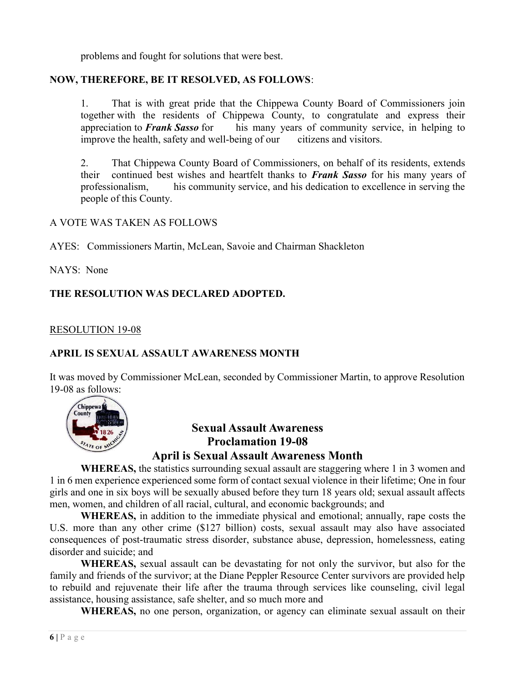problems and fought for solutions that were best.

### NOW, THEREFORE, BE IT RESOLVED, AS FOLLOWS:

 1. That is with great pride that the Chippewa County Board of Commissioners join together with the residents of Chippewa County, to congratulate and express their appreciation to Frank Sasso for his many years of community service, in helping to improve the health, safety and well-being of our citizens and visitors.

 2. That Chippewa County Board of Commissioners, on behalf of its residents, extends their continued best wishes and heartfelt thanks to Frank Sasso for his many years of professionalism, his community service, and his dedication to excellence in serving the people of this County.

### A VOTE WAS TAKEN AS FOLLOWS

AYES: Commissioners Martin, McLean, Savoie and Chairman Shackleton

NAYS: None

### THE RESOLUTION WAS DECLARED ADOPTED.

### RESOLUTION 19-08

### APRIL IS SEXUAL ASSAULT AWARENESS MONTH

It was moved by Commissioner McLean, seconded by Commissioner Martin, to approve Resolution 19-08 as follows:



# Sexual Assault Awareness Proclamation 19-08 April is Sexual Assault Awareness Month

WHEREAS, the statistics surrounding sexual assault are staggering where 1 in 3 women and 1 in 6 men experience experienced some form of contact sexual violence in their lifetime; One in four girls and one in six boys will be sexually abused before they turn 18 years old; sexual assault affects men, women, and children of all racial, cultural, and economic backgrounds; and

WHEREAS, in addition to the immediate physical and emotional; annually, rape costs the U.S. more than any other crime (\$127 billion) costs, sexual assault may also have associated consequences of post-traumatic stress disorder, substance abuse, depression, homelessness, eating disorder and suicide; and

WHEREAS, sexual assault can be devastating for not only the survivor, but also for the family and friends of the survivor; at the Diane Peppler Resource Center survivors are provided help to rebuild and rejuvenate their life after the trauma through services like counseling, civil legal assistance, housing assistance, safe shelter, and so much more and

WHEREAS, no one person, organization, or agency can eliminate sexual assault on their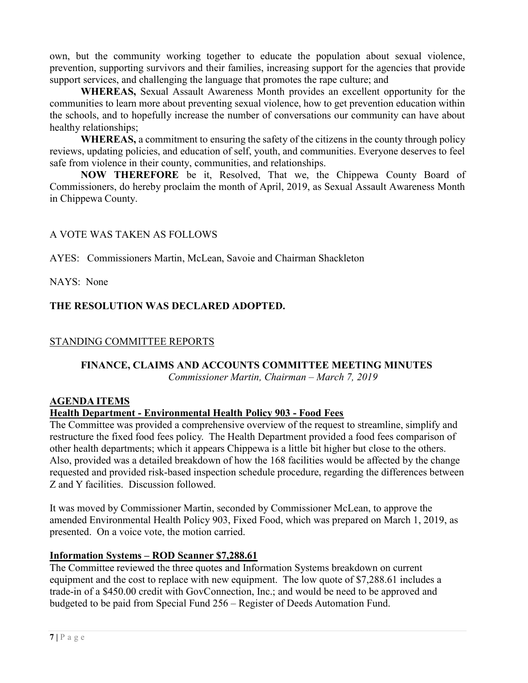own, but the community working together to educate the population about sexual violence, prevention, supporting survivors and their families, increasing support for the agencies that provide support services, and challenging the language that promotes the rape culture; and

WHEREAS, Sexual Assault Awareness Month provides an excellent opportunity for the communities to learn more about preventing sexual violence, how to get prevention education within the schools, and to hopefully increase the number of conversations our community can have about healthy relationships;

WHEREAS, a commitment to ensuring the safety of the citizens in the county through policy reviews, updating policies, and education of self, youth, and communities. Everyone deserves to feel safe from violence in their county, communities, and relationships.

NOW THEREFORE be it, Resolved, That we, the Chippewa County Board of Commissioners, do hereby proclaim the month of April, 2019, as Sexual Assault Awareness Month in Chippewa County.

## A VOTE WAS TAKEN AS FOLLOWS

AYES: Commissioners Martin, McLean, Savoie and Chairman Shackleton

NAYS: None

# THE RESOLUTION WAS DECLARED ADOPTED.

# STANDING COMMITTEE REPORTS

# FINANCE, CLAIMS AND ACCOUNTS COMMITTEE MEETING MINUTES

Commissioner Martin, Chairman – March 7, 2019

### AGENDA ITEMS

### Health Department - Environmental Health Policy 903 - Food Fees

The Committee was provided a comprehensive overview of the request to streamline, simplify and restructure the fixed food fees policy. The Health Department provided a food fees comparison of other health departments; which it appears Chippewa is a little bit higher but close to the others. Also, provided was a detailed breakdown of how the 168 facilities would be affected by the change requested and provided risk-based inspection schedule procedure, regarding the differences between Z and Y facilities. Discussion followed.

It was moved by Commissioner Martin, seconded by Commissioner McLean, to approve the amended Environmental Health Policy 903, Fixed Food, which was prepared on March 1, 2019, as presented. On a voice vote, the motion carried.

# Information Systems – ROD Scanner \$7,288.61

The Committee reviewed the three quotes and Information Systems breakdown on current equipment and the cost to replace with new equipment. The low quote of \$7,288.61 includes a trade-in of a \$450.00 credit with GovConnection, Inc.; and would be need to be approved and budgeted to be paid from Special Fund 256 – Register of Deeds Automation Fund.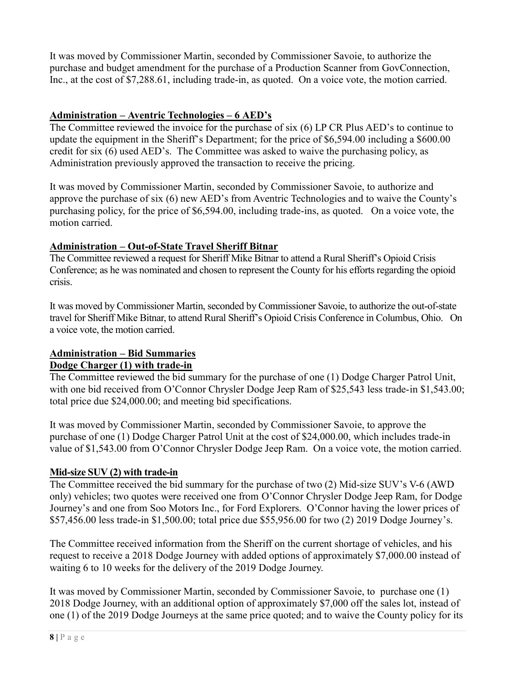It was moved by Commissioner Martin, seconded by Commissioner Savoie, to authorize the purchase and budget amendment for the purchase of a Production Scanner from GovConnection, Inc., at the cost of \$7,288.61, including trade-in, as quoted. On a voice vote, the motion carried.

# Administration – Aventric Technologies – 6 AED's

The Committee reviewed the invoice for the purchase of six (6) LP CR Plus AED's to continue to update the equipment in the Sheriff's Department; for the price of \$6,594.00 including a \$600.00 credit for six (6) used AED's. The Committee was asked to waive the purchasing policy, as Administration previously approved the transaction to receive the pricing.

It was moved by Commissioner Martin, seconded by Commissioner Savoie, to authorize and approve the purchase of six (6) new AED's from Aventric Technologies and to waive the County's purchasing policy, for the price of \$6,594.00, including trade-ins, as quoted. On a voice vote, the motion carried.

# Administration – Out-of-State Travel Sheriff Bitnar

The Committee reviewed a request for Sheriff Mike Bitnar to attend a Rural Sheriff's Opioid Crisis Conference; as he was nominated and chosen to represent the County for his efforts regarding the opioid crisis.

It was moved by Commissioner Martin, seconded by Commissioner Savoie, to authorize the out-of-state travel for Sheriff Mike Bitnar, to attend Rural Sheriff's Opioid Crisis Conference in Columbus, Ohio. On a voice vote, the motion carried.

# Administration – Bid Summaries

# Dodge Charger (1) with trade-in

The Committee reviewed the bid summary for the purchase of one (1) Dodge Charger Patrol Unit, with one bid received from O'Connor Chrysler Dodge Jeep Ram of \$25,543 less trade-in \$1,543.00; total price due \$24,000.00; and meeting bid specifications.

It was moved by Commissioner Martin, seconded by Commissioner Savoie, to approve the purchase of one (1) Dodge Charger Patrol Unit at the cost of \$24,000.00, which includes trade-in value of \$1,543.00 from O'Connor Chrysler Dodge Jeep Ram. On a voice vote, the motion carried.

# Mid-size SUV (2) with trade-in

The Committee received the bid summary for the purchase of two (2) Mid-size SUV's V-6 (AWD only) vehicles; two quotes were received one from O'Connor Chrysler Dodge Jeep Ram, for Dodge Journey's and one from Soo Motors Inc., for Ford Explorers. O'Connor having the lower prices of \$57,456.00 less trade-in \$1,500.00; total price due \$55,956.00 for two (2) 2019 Dodge Journey's.

The Committee received information from the Sheriff on the current shortage of vehicles, and his request to receive a 2018 Dodge Journey with added options of approximately \$7,000.00 instead of waiting 6 to 10 weeks for the delivery of the 2019 Dodge Journey.

It was moved by Commissioner Martin, seconded by Commissioner Savoie, to purchase one (1) 2018 Dodge Journey, with an additional option of approximately \$7,000 off the sales lot, instead of one (1) of the 2019 Dodge Journeys at the same price quoted; and to waive the County policy for its